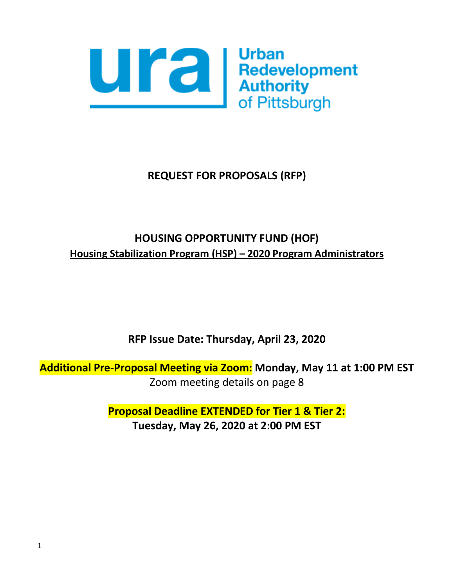

# **REQUEST FOR PROPOSALS (RFP)**

# **HOUSING OPPORTUNITY FUND (HOF) Housing Stabilization Program (HSP) – 2020 Program Administrators**

**RFP Issue Date: Thursday, April 23, 2020**

**Additional Pre-Proposal Meeting via Zoom: Monday, May 11 at 1:00 PM EST**  Zoom meeting details on page 8

> **Proposal Deadline EXTENDED for Tier 1 & Tier 2: Tuesday, May 26, 2020 at 2:00 PM EST**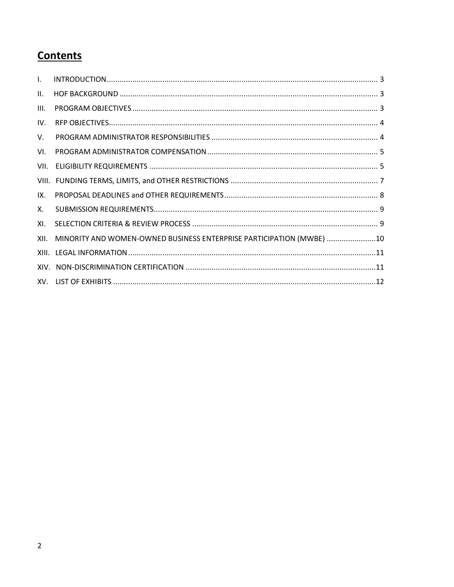# **Contents**

| VII. |                                                                      |
|------|----------------------------------------------------------------------|
|      |                                                                      |
|      |                                                                      |
|      |                                                                      |
|      |                                                                      |
|      |                                                                      |
|      |                                                                      |
|      |                                                                      |
|      |                                                                      |
|      | MINORITY AND WOMEN-OWNED BUSINESS ENTERPRISE PARTICIPATION (MWBE) 10 |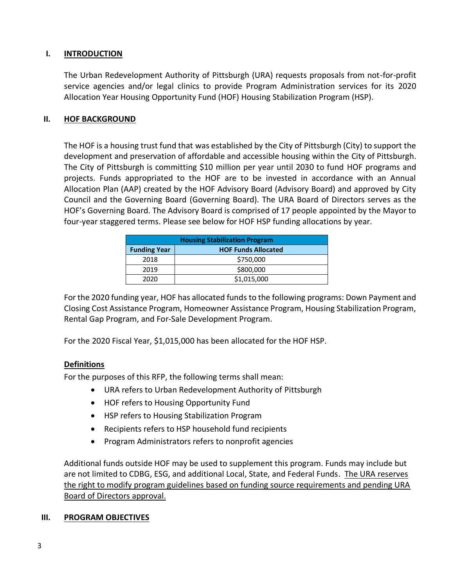#### **I. INTRODUCTION**

The Urban Redevelopment Authority of Pittsburgh (URA) requests proposals from not-for-profit service agencies and/or legal clinics to provide Program Administration services for its 2020 Allocation Year Housing Opportunity Fund (HOF) Housing Stabilization Program (HSP).

#### **II. HOF BACKGROUND**

The HOF is a housing trust fund that was established by the City of Pittsburgh (City) to support the development and preservation of affordable and accessible housing within the City of Pittsburgh. The City of Pittsburgh is committing \$10 million per year until 2030 to fund HOF programs and projects. Funds appropriated to the HOF are to be invested in accordance with an Annual Allocation Plan (AAP) created by the HOF Advisory Board (Advisory Board) and approved by City Council and the Governing Board (Governing Board). The URA Board of Directors serves as the HOF's Governing Board. The Advisory Board is comprised of 17 people appointed by the Mayor to four-year staggered terms. Please see below for HOF HSP funding allocations by year.

| <b>Housing Stabilization Program</b> |                            |  |  |
|--------------------------------------|----------------------------|--|--|
| <b>Funding Year</b>                  | <b>HOF Funds Allocated</b> |  |  |
| 2018                                 | \$750,000                  |  |  |
| 2019                                 | \$800,000                  |  |  |
| 2020                                 | \$1,015,000                |  |  |

For the 2020 funding year, HOF has allocated funds to the following programs: Down Payment and Closing Cost Assistance Program, Homeowner Assistance Program, Housing Stabilization Program, Rental Gap Program, and For-Sale Development Program.

For the 2020 Fiscal Year, \$1,015,000 has been allocated for the HOF HSP.

# **Definitions**

For the purposes of this RFP, the following terms shall mean:

- URA refers to Urban Redevelopment Authority of Pittsburgh
- HOF refers to Housing Opportunity Fund
- HSP refers to Housing Stabilization Program
- Recipients refers to HSP household fund recipients
- Program Administrators refers to nonprofit agencies

Additional funds outside HOF may be used to supplement this program. Funds may include but are not limited to CDBG, ESG, and additional Local, State, and Federal Funds. The URA reserves the right to modify program guidelines based on funding source requirements and pending URA Board of Directors approval.

#### **III. PROGRAM OBJECTIVES**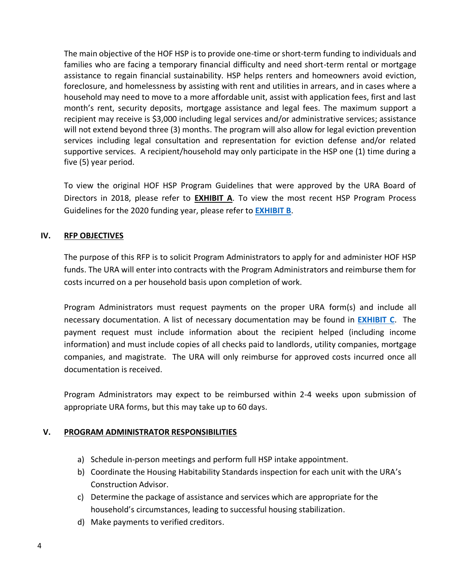The main objective of the HOF HSP is to provide one-time or short-term funding to individuals and families who are facing a temporary financial difficulty and need short-term rental or mortgage assistance to regain financial sustainability. HSP helps renters and homeowners avoid eviction, foreclosure, and homelessness by assisting with rent and utilities in arrears, and in cases where a household may need to move to a more affordable unit, assist with application fees, first and last month's rent, security deposits, mortgage assistance and legal fees. The maximum support a recipient may receive is \$3,000 including legal services and/or administrative services; assistance will not extend beyond three (3) months. The program will also allow for legal eviction prevention services including legal consultation and representation for eviction defense and/or related supportive services. A recipient/household may only participate in the HSP one (1) time during a five (5) year period.

To view the original HOF HSP Program Guidelines that were approved by the URA Board of Directors in 2018, please refer to **[EXHIBIT A](file://///ura-fs/share/HOUSHOME/Housing%20Opportunity%20Fund/RFPs/2020%20Allocation/HSP%20Program%20Administrators/Exhibits/Exhibit%20A%20-%20HSP%20Guidelines%2011.2.2018.pdf)**. To view the most recent HSP Program Process Guidelines for the 2020 funding year, please refer to **[EXHIBIT B](Exhibits/Exhibit%20B%20-%20HOUSING%20STABILIZATION%20PROGRAM%20PROCESS%20GUIDE_Updated%205.4.20.pdf)**.

# **IV. RFP OBJECTIVES**

The purpose of this RFP is to solicit Program Administrators to apply for and administer HOF HSP funds. The URA will enter into contracts with the Program Administrators and reimburse them for costs incurred on a per household basis upon completion of work.

Program Administrators must request payments on the proper URA form(s) and include all necessary documentation. A list of necessary documentation may be found in **[EXHIBIT](Exhibits/Exhibit%20C%20-%20Necessary%20Documentation%20for%20HSP.pdf) C**. The payment request must include information about the recipient helped (including income information) and must include copies of all checks paid to landlords, utility companies, mortgage companies, and magistrate. The URA will only reimburse for approved costs incurred once all documentation is received.

Program Administrators may expect to be reimbursed within 2-4 weeks upon submission of appropriate URA forms, but this may take up to 60 days.

# **V. PROGRAM ADMINISTRATOR RESPONSIBILITIES**

- a) Schedule in-person meetings and perform full HSP intake appointment.
- b) Coordinate the Housing Habitability Standards inspection for each unit with the URA's Construction Advisor.
- c) Determine the package of assistance and services which are appropriate for the household's circumstances, leading to successful housing stabilization.
- d) Make payments to verified creditors.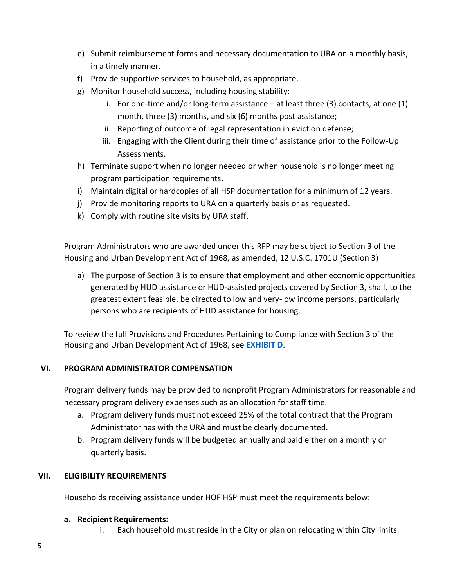- e) Submit reimbursement forms and necessary documentation to URA on a monthly basis, in a timely manner.
- f) Provide supportive services to household, as appropriate.
- g) Monitor household success, including housing stability:
	- i. For one-time and/or long-term assistance  $-$  at least three (3) contacts, at one (1) month, three (3) months, and six (6) months post assistance;
	- ii. Reporting of outcome of legal representation in eviction defense;
	- iii. Engaging with the Client during their time of assistance prior to the Follow-Up Assessments.
- h) Terminate support when no longer needed or when household is no longer meeting program participation requirements.
- i) Maintain digital or hardcopies of all HSP documentation for a minimum of 12 years.
- j) Provide monitoring reports to URA on a quarterly basis or as requested.
- k) Comply with routine site visits by URA staff.

Program Administrators who are awarded under this RFP may be subject to Section 3 of the Housing and Urban Development Act of 1968, as amended, 12 U.S.C. 1701U (Section 3)

a) The purpose of Section 3 is to ensure that employment and other economic opportunities generated by HUD assistance or HUD-assisted projects covered by Section 3, shall, to the greatest extent feasible, be directed to low and very-low income persons, particularly persons who are recipients of HUD assistance for housing.

To review the full Provisions and Procedures Pertaining to Compliance with Section 3 of the Housing and Urban Development Act of 1968, see **[EXHIBIT D](Exhibits/Exhibit%20D%20-%20CDBG%20Section%203.pdf)**.

# **VI. PROGRAM ADMINISTRATOR COMPENSATION**

Program delivery funds may be provided to nonprofit Program Administrators for reasonable and necessary program delivery expenses such as an allocation for staff time.

- a. Program delivery funds must not exceed 25% of the total contract that the Program Administrator has with the URA and must be clearly documented.
- b. Program delivery funds will be budgeted annually and paid either on a monthly or quarterly basis.

# **VII. ELIGIBILITY REQUIREMENTS**

Households receiving assistance under HOF HSP must meet the requirements below:

#### **a. Recipient Requirements:**

i. Each household must reside in the City or plan on relocating within City limits.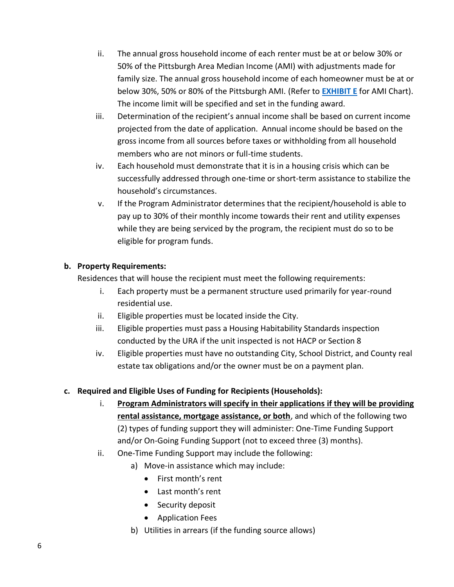- ii. The annual gross household income of each renter must be at or below 30% or 50% of the Pittsburgh Area Median Income (AMI) with adjustments made for family size. The annual gross household income of each homeowner must be at or below 30%, 50% or 80% of the Pittsburgh AMI. (Refer to **[EXHIBIT E](Exhibits/Exhibit%20E%20-%202020%20AMI.pdf)** for AMI Chart). The income limit will be specified and set in the funding award.
- iii. Determination of the recipient's annual income shall be based on current income projected from the date of application. Annual income should be based on the gross income from all sources before taxes or withholding from all household members who are not minors or full-time students.
- iv. Each household must demonstrate that it is in a housing crisis which can be successfully addressed through one-time or short-term assistance to stabilize the household's circumstances.
- v. If the Program Administrator determines that the recipient/household is able to pay up to 30% of their monthly income towards their rent and utility expenses while they are being serviced by the program, the recipient must do so to be eligible for program funds.

# **b. Property Requirements:**

Residences that will house the recipient must meet the following requirements:

- i. Each property must be a permanent structure used primarily for year-round residential use.
- ii. Eligible properties must be located inside the City.
- iii. Eligible properties must pass a Housing Habitability Standards inspection conducted by the URA if the unit inspected is not HACP or Section 8
- iv. Eligible properties must have no outstanding City, School District, and County real estate tax obligations and/or the owner must be on a payment plan.

# **c. Required and Eligible Uses of Funding for Recipients (Households):**

- i. **Program Administrators will specify in their applications if they will be providing rental assistance, mortgage assistance, or both**, and which of the following two (2) types of funding support they will administer: One-Time Funding Support and/or On-Going Funding Support (not to exceed three (3) months).
- ii. One-Time Funding Support may include the following:
	- a) Move-in assistance which may include:
		- First month's rent
		- Last month's rent
		- Security deposit
		- Application Fees
	- b) Utilities in arrears (if the funding source allows)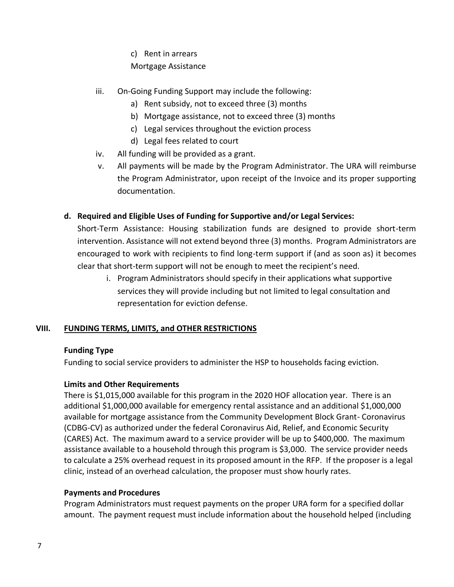c) Rent in arrears

# Mortgage Assistance

- iii. On-Going Funding Support may include the following:
	- a) Rent subsidy, not to exceed three (3) months
	- b) Mortgage assistance, not to exceed three (3) months
	- c) Legal services throughout the eviction process
	- d) Legal fees related to court
- iv. All funding will be provided as a grant.
- v. All payments will be made by the Program Administrator. The URA will reimburse the Program Administrator, upon receipt of the Invoice and its proper supporting documentation.

# **d. Required and Eligible Uses of Funding for Supportive and/or Legal Services:**

Short-Term Assistance: Housing stabilization funds are designed to provide short-term intervention. Assistance will not extend beyond three (3) months. Program Administrators are encouraged to work with recipients to find long-term support if (and as soon as) it becomes clear that short-term support will not be enough to meet the recipient's need.

i. Program Administrators should specify in their applications what supportive services they will provide including but not limited to legal consultation and representation for eviction defense.

# **VIII. FUNDING TERMS, LIMITS, and OTHER RESTRICTIONS**

# **Funding Type**

Funding to social service providers to administer the HSP to households facing eviction.

# **Limits and Other Requirements**

There is \$1,015,000 available for this program in the 2020 HOF allocation year. There is an additional \$1,000,000 available for emergency rental assistance and an additional \$1,000,000 available for mortgage assistance from the Community Development Block Grant- Coronavirus (CDBG-CV) as authorized under the federal Coronavirus Aid, Relief, and Economic Security (CARES) Act. The maximum award to a service provider will be up to \$400,000. The maximum assistance available to a household through this program is \$3,000. The service provider needs to calculate a 25% overhead request in its proposed amount in the RFP. If the proposer is a legal clinic, instead of an overhead calculation, the proposer must show hourly rates.

# **Payments and Procedures**

Program Administrators must request payments on the proper URA form for a specified dollar amount. The payment request must include information about the household helped (including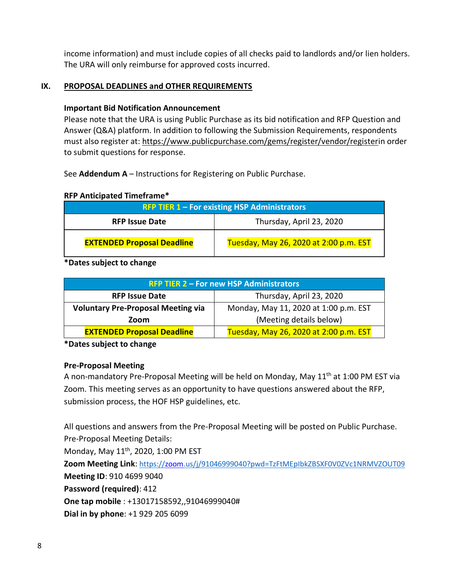income information) and must include copies of all checks paid to landlords and/or lien holders. The URA will only reimburse for approved costs incurred.

#### **IX. PROPOSAL DEADLINES and OTHER REQUIREMENTS**

#### **Important Bid Notification Announcement**

Please note that the URA is using Public Purchase as its bid notification and RFP Question and Answer (Q&A) platform. In addition to following the Submission Requirements, respondents must also register at: [https://www.publicpurchase.com/gems/register/vendor/registeri](https://www.publicpurchase.com/gems/register/vendor/register)n order to submit questions for response.

See **Addendum A** – Instructions for Registering on Public Purchase.

#### **RFP Anticipated Timeframe\***

| <b>RFP TIER 1 - For existing HSP Administrators</b> |                                        |  |
|-----------------------------------------------------|----------------------------------------|--|
| <b>RFP Issue Date</b>                               | Thursday, April 23, 2020               |  |
| <b>EXTENDED Proposal Deadline</b>                   | Tuesday, May 26, 2020 at 2:00 p.m. EST |  |

#### **\*Dates subject to change**

| <b>RFP TIER 2 - For new HSP Administrators</b> |                                        |  |  |
|------------------------------------------------|----------------------------------------|--|--|
| <b>RFP Issue Date</b>                          | Thursday, April 23, 2020               |  |  |
| <b>Voluntary Pre-Proposal Meeting via</b>      | Monday, May 11, 2020 at 1:00 p.m. EST  |  |  |
| Zoom                                           | (Meeting details below)                |  |  |
| <b>EXTENDED Proposal Deadline</b>              | Tuesday, May 26, 2020 at 2:00 p.m. EST |  |  |

**\*Dates subject to change**

#### **Pre-Proposal Meeting**

A non-mandatory Pre-Proposal Meeting will be held on Monday, May 11<sup>th</sup> at 1:00 PM EST via Zoom. This meeting serves as an opportunity to have questions answered about the RFP, submission process, the HOF HSP guidelines, etc.

All questions and answers from the Pre-Proposal Meeting will be posted on Public Purchase. Pre-Proposal Meeting Details: Monday, May 11<sup>th</sup>, 2020, 1:00 PM EST **Zoom Meeting Link**: <https://zoom.us/j/91046999040?pwd=TzFtMEpIbkZBSXF0V0ZVc1NRMVZOUT09> **Meeting ID**: 910 4699 9040 **Password (required)**: 412 **One tap mobile** : +13017158592,,91046999040# **Dial in by phone**: +1 929 205 6099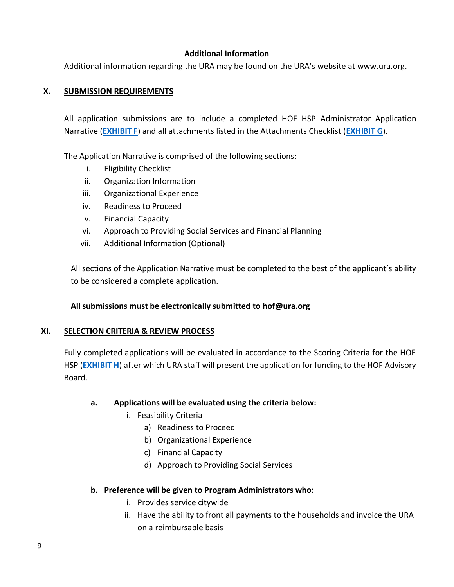# **Additional Information**

Additional information regarding the URA may be found on the URA's website at [www.ura.org.](http://www.ura.org/)

# **X. SUBMISSION REQUIREMENTS**

All application submissions are to include a completed HOF HSP Administrator Application Narrative (**[EXHIBIT F](Exhibits/Exhibit%20F%20-%202020%20Application%20Narrative.docx)**) and all attachments listed in the Attachments Checklist (**[EXHIBIT G](Exhibits/Exhibit%20G%20-%20Attachments%20Checklist.pdf)**).

The Application Narrative is comprised of the following sections:

- i. Eligibility Checklist
- ii. Organization Information
- iii. Organizational Experience
- iv. Readiness to Proceed
- v. Financial Capacity
- vi. Approach to Providing Social Services and Financial Planning
- vii. Additional Information (Optional)

All sections of the Application Narrative must be completed to the best of the applicant's ability to be considered a complete application.

# **All submissions must be electronically submitted to [hof@ura.org](mailto:hof@ura.org)**

# **XI. SELECTION CRITERIA & REVIEW PROCESS**

Fully completed applications will be evaluated in accordance to the Scoring Criteria for the HOF HSP (**[EXHIBIT H](Exhibits/Exhibit%20H%20-%20HSP%20Scoring%20Criteria.xlsx)**) after which URA staff will present the application for funding to the HOF Advisory Board.

# **a. Applications will be evaluated using the criteria below:**

- i. Feasibility Criteria
	- a) Readiness to Proceed
	- b) Organizational Experience
	- c) Financial Capacity
	- d) Approach to Providing Social Services

# **b. Preference will be given to Program Administrators who:**

- i. Provides service citywide
- ii. Have the ability to front all payments to the households and invoice the URA on a reimbursable basis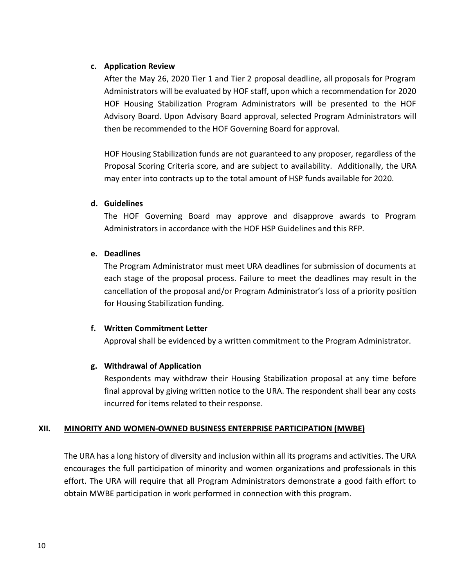#### **c. Application Review**

After the May 26, 2020 Tier 1 and Tier 2 proposal deadline, all proposals for Program Administrators will be evaluated by HOF staff, upon which a recommendation for 2020 HOF Housing Stabilization Program Administrators will be presented to the HOF Advisory Board. Upon Advisory Board approval, selected Program Administrators will then be recommended to the HOF Governing Board for approval.

HOF Housing Stabilization funds are not guaranteed to any proposer, regardless of the Proposal Scoring Criteria score, and are subject to availability. Additionally, the URA may enter into contracts up to the total amount of HSP funds available for 2020.

#### **d. Guidelines**

The HOF Governing Board may approve and disapprove awards to Program Administrators in accordance with the HOF HSP Guidelines and this RFP.

#### **e. Deadlines**

The Program Administrator must meet URA deadlines for submission of documents at each stage of the proposal process. Failure to meet the deadlines may result in the cancellation of the proposal and/or Program Administrator's loss of a priority position for Housing Stabilization funding.

# **f. Written Commitment Letter**

Approval shall be evidenced by a written commitment to the Program Administrator.

#### **g. Withdrawal of Application**

Respondents may withdraw their Housing Stabilization proposal at any time before final approval by giving written notice to the URA. The respondent shall bear any costs incurred for items related to their response.

# **XII. MINORITY AND WOMEN-OWNED BUSINESS ENTERPRISE PARTICIPATION (MWBE)**

The URA has a long history of diversity and inclusion within all its programs and activities. The URA encourages the full participation of minority and women organizations and professionals in this effort. The URA will require that all Program Administrators demonstrate a good faith effort to obtain MWBE participation in work performed in connection with this program.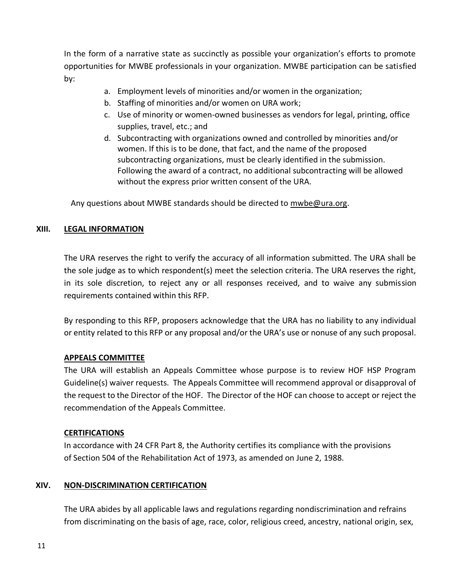In the form of a narrative state as succinctly as possible your organization's efforts to promote opportunities for MWBE professionals in your organization. MWBE participation can be satisfied by:

- a. Employment levels of minorities and/or women in the organization;
- b. Staffing of minorities and/or women on URA work;
- c. Use of minority or women-owned businesses as vendors for legal, printing, office supplies, travel, etc.; and
- d. Subcontracting with organizations owned and controlled by minorities and/or women. If this is to be done, that fact, and the name of the proposed subcontracting organizations, must be clearly identified in the submission. Following the award of a contract, no additional subcontracting will be allowed without the express prior written consent of the URA.

Any questions about MWBE standards should be directed to [mwbe@ura.org.](mailto:mwbe@ura.org)

#### **XIII. LEGAL INFORMATION**

The URA reserves the right to verify the accuracy of all information submitted. The URA shall be the sole judge as to which respondent(s) meet the selection criteria. The URA reserves the right, in its sole discretion, to reject any or all responses received, and to waive any submission requirements contained within this RFP.

By responding to this RFP, proposers acknowledge that the URA has no liability to any individual or entity related to this RFP or any proposal and/or the URA's use or nonuse of any such proposal.

#### **APPEALS COMMITTEE**

The URA will establish an Appeals Committee whose purpose is to review HOF HSP Program Guideline(s) waiver requests. The Appeals Committee will recommend approval or disapproval of the request to the Director of the HOF. The Director of the HOF can choose to accept or reject the recommendation of the Appeals Committee.

#### **CERTIFICATIONS**

In accordance with 24 CFR Part 8, the Authority certifies its compliance with the provisions of Section 504 of the Rehabilitation Act of 1973, as amended on June 2, 1988.

# **XIV. NON-DISCRIMINATION CERTIFICATION**

The URA abides by all applicable laws and regulations regarding nondiscrimination and refrains from discriminating on the basis of age, race, color, religious creed, ancestry, national origin, sex,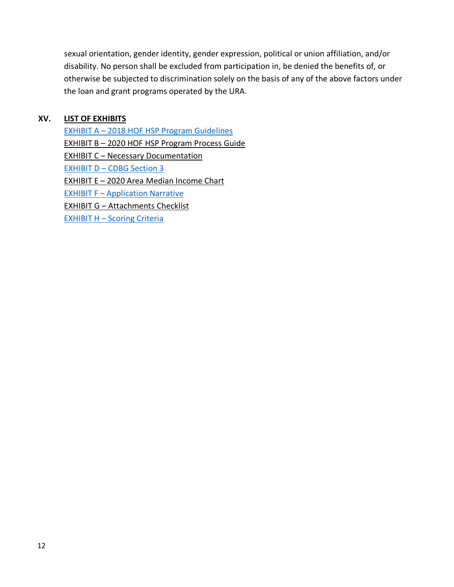sexual orientation, gender identity, gender expression, political or union affiliation, and/or disability. No person shall be excluded from participation in, be denied the benefits of, or otherwise be subjected to discrimination solely on the basis of any of the above factors under the loan and grant programs operated by the URA.

#### **XV. LIST OF EXHIBITS**

EXHIBIT A – [2018 HOF HSP Program Guidelines](Exhibits/Exhibit%20A%20-%20HSP%20Guidelines%2011.2.2018.pdf) EXHIBIT B - 2020 HOF HSP Program Process Guide EXHIBIT C - Necessary Documentation EXHIBIT D – [CDBG Section 3](Exhibits/Exhibit%20D%20-%20CDBG%20Section%203.pdf) EXHIBIT E – 2020 [Area Median Income Chart](Exhibits/Exhibit%20E%20-%202020%20AMI.pdf) **EXHIBIT F – [Application Narrative](Exhibits/Exhibit%20F%20-%202020%20Application%20Narrative.docx)** EXHIBIT G – [Attachments Checklist](Exhibits/Exhibit%20G%20-%20Attachments%20Checklist.pdf)  EXHIBIT H - [Scoring Criteria](Exhibits/Exhibit%20H%20-%20HSP%20Scoring%20Criteria.xlsx)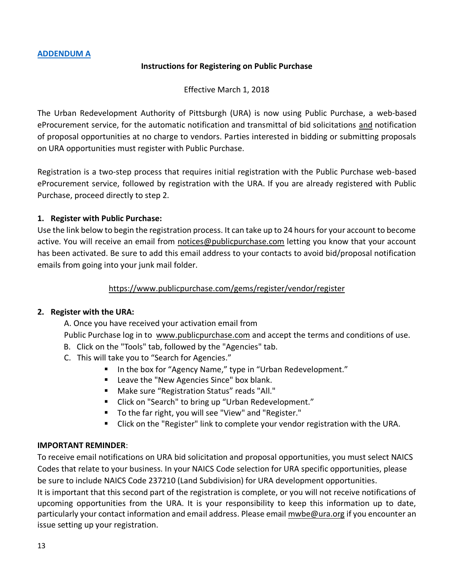#### **Instructions for Registering on Public Purchase**

Effective March 1, 2018

The Urban Redevelopment Authority of Pittsburgh (URA) is now using Public Purchase, a web-based eProcurement service, for the automatic notification and transmittal of bid solicitations and notification of proposal opportunities at no charge to vendors. Parties interested in bidding or submitting proposals on URA opportunities must register with Public Purchase.

Registration is a two-step process that requires initial registration with the Public Purchase web-based eProcurement service, followed by registration with the URA. If you are already registered with Public Purchase, proceed directly to step 2.

# **1. Register with Public Purchase:**

Use the link below to begin the registration process. It can take up to 24 hours for your account to become active. You will receive an email from [notices@publicpurchase.com](mailto:notices@publicpurchase.com) letting you know that your account has been activated. Be sure to add this email address to your contacts to avoid bid/proposal notification emails from going into your junk mail folder.

#### <https://www.publicpurchase.com/gems/register/vendor/register>

#### **2. Register with the URA:**

A. Once you have received your activation email from

Public Purchase log in to [www.publicpurchase.com](http://www.publicpurchase.com/) and accept the terms and conditions of use.

- B. Click on the "Tools" tab, followed by the "Agencies" tab.
- C. This will take you to "Search for Agencies."
	- In the box for "Agency Name," type in "Urban Redevelopment."
	- Leave the "New Agencies Since" box blank.
	- Make sure "Registration Status" reads "All."
	- Click on "Search" to bring up "Urban Redevelopment."
	- To the far right, you will see "View" and "Register."
	- Click on the "Register" link to complete your vendor registration with the URA.

# **IMPORTANT REMINDER**:

To receive email notifications on URA bid solicitation and proposal opportunities, you must select NAICS Codes that relate to your business. In your NAICS Code selection for URA specific opportunities, please be sure to include NAICS Code 237210 (Land Subdivision) for URA development opportunities.

It is important that this second part of the registration is complete, or you will not receive notifications of upcoming opportunities from the URA. It is your responsibility to keep this information up to date, particularly your contact information and email address. Please emai[l mwbe@ura.org](mailto:mwbe@ura.org) if you encounter an issue setting up your registration.